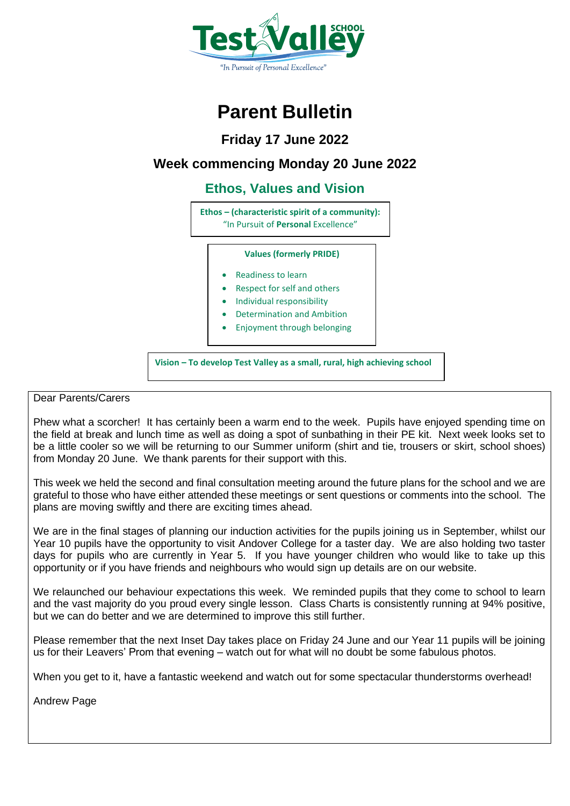

## **Parent Bulletin**

**Friday 17 June 2022**

### **Week commencing Monday 20 June 2022**

### **Ethos, Values and Vision**

**Ethos – (characteristic spirit of a community):** "In Pursuit of **Personal** Excellence"

#### **Values (formerly PRIDE)**

- Readiness to learn
- Respect for self and others
- Individual responsibility
- Determination and Ambition
- Enjoyment through belonging

**Vision – To develop Test Valley as a small, rural, high achieving school**

#### Dear Parents/Carers

Phew what a scorcher! It has certainly been a warm end to the week. Pupils have enjoyed spending time on the field at break and lunch time as well as doing a spot of sunbathing in their PE kit. Next week looks set to be a little cooler so we will be returning to our Summer uniform (shirt and tie, trousers or skirt, school shoes) from Monday 20 June. We thank parents for their support with this.

This week we held the second and final consultation meeting around the future plans for the school and we are grateful to those who have either attended these meetings or sent questions or comments into the school. The plans are moving swiftly and there are exciting times ahead.

We are in the final stages of planning our induction activities for the pupils joining us in September, whilst our Year 10 pupils have the opportunity to visit Andover College for a taster day. We are also holding two taster days for pupils who are currently in Year 5. If you have younger children who would like to take up this opportunity or if you have friends and neighbours who would sign up details are on our website.

We relaunched our behaviour expectations this week. We reminded pupils that they come to school to learn and the vast majority do you proud every single lesson. Class Charts is consistently running at 94% positive, but we can do better and we are determined to improve this still further.

Please remember that the next Inset Day takes place on Friday 24 June and our Year 11 pupils will be joining us for their Leavers' Prom that evening – watch out for what will no doubt be some fabulous photos.

When you get to it, have a fantastic weekend and watch out for some spectacular thunderstorms overhead!

Andrew Page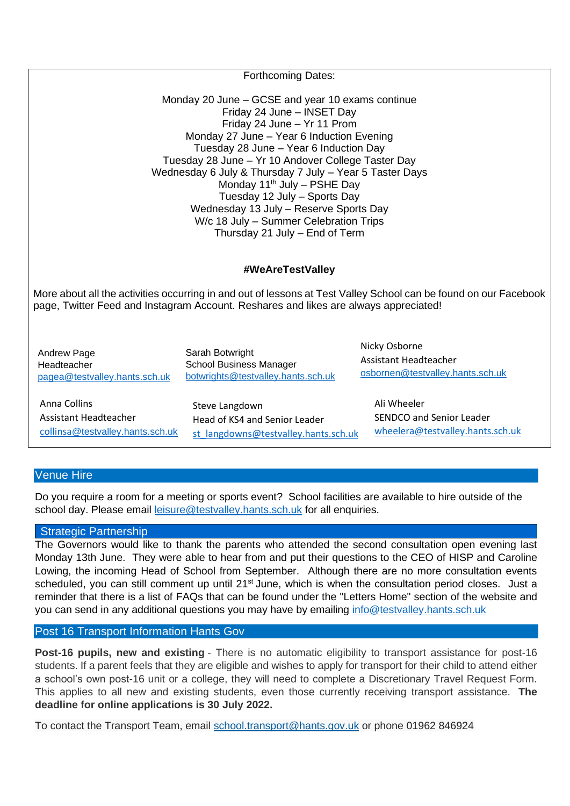| <b>Forthcoming Dates:</b>                                                                                                                                                                                                                                                                                                                                                                                                                                                                                              |                                                                                         |                                                                             |
|------------------------------------------------------------------------------------------------------------------------------------------------------------------------------------------------------------------------------------------------------------------------------------------------------------------------------------------------------------------------------------------------------------------------------------------------------------------------------------------------------------------------|-----------------------------------------------------------------------------------------|-----------------------------------------------------------------------------|
| Monday 20 June – GCSE and year 10 exams continue<br>Friday 24 June - INSET Day<br>Friday 24 June - Yr 11 Prom<br>Monday 27 June - Year 6 Induction Evening<br>Tuesday 28 June - Year 6 Induction Day<br>Tuesday 28 June - Yr 10 Andover College Taster Day<br>Wednesday 6 July & Thursday 7 July - Year 5 Taster Days<br>Monday 11 <sup>th</sup> July - PSHE Day<br>Tuesday 12 July - Sports Day<br>Wednesday 13 July - Reserve Sports Day<br>W/c 18 July - Summer Celebration Trips<br>Thursday 21 July - End of Term |                                                                                         |                                                                             |
| #WeAreTestValley                                                                                                                                                                                                                                                                                                                                                                                                                                                                                                       |                                                                                         |                                                                             |
| More about all the activities occurring in and out of lessons at Test Valley School can be found on our Facebook<br>page, Twitter Feed and Instagram Account. Reshares and likes are always appreciated!                                                                                                                                                                                                                                                                                                               |                                                                                         |                                                                             |
| Andrew Page<br>Headteacher<br>pagea@testvalley.hants.sch.uk                                                                                                                                                                                                                                                                                                                                                                                                                                                            | Sarah Botwright<br><b>School Business Manager</b><br>botwrights@testvalley.hants.sch.uk | Nicky Osborne<br>Assistant Headteacher<br>osbornen@testvalley.hants.sch.uk  |
| Anna Collins<br>Assistant Headteacher<br>collinsa@testvalley.hants.sch.uk                                                                                                                                                                                                                                                                                                                                                                                                                                              | Steve Langdown<br>Head of KS4 and Senior Leader<br>st langdowns@testvalley.hants.sch.uk | Ali Wheeler<br>SENDCO and Senior Leader<br>wheelera@testvalley.hants.sch.uk |

#### Venue Hire

Do you require a room for a meeting or sports event? School facilities are available to hire outside of the school day. Please email [leisure@testvalley.hants.sch.uk](mailto:leisure@testvalley.hants.sch.uk) for all enquiries.

#### Strategic Partnership

The Governors would like to thank the parents who attended the second consultation open evening last Monday 13th June. They were able to hear from and put their questions to the CEO of HISP and Caroline Lowing, the incoming Head of School from September. Although there are no more consultation events scheduled, you can still comment up until 21<sup>st</sup> June, which is when the consultation period closes. Just a reminder that there is a list of FAQs that can be found under the "Letters Home" section of the website and you can send in any additional questions you may have by emailing [info@testvalley.hants.sch.uk](mailto:info@testvalley.hants.sch.uk)

#### Post 16 Transport Information Hants Gov

**Post-16 pupils, new and existing** - There is no automatic eligibility to transport assistance for post-16 students. If a parent feels that they are eligible and wishes to apply for transport for their child to attend either a school's own post-16 unit or a college, they will need to complete a Discretionary Travel Request Form. This applies to all new and existing students, even those currently receiving transport assistance. **The deadline for online applications is 30 July 2022.**

To contact the Transport Team, email [school.transport@hants.gov.uk](mailto:school.transport@hants.gov.uk) or phone 01962 846924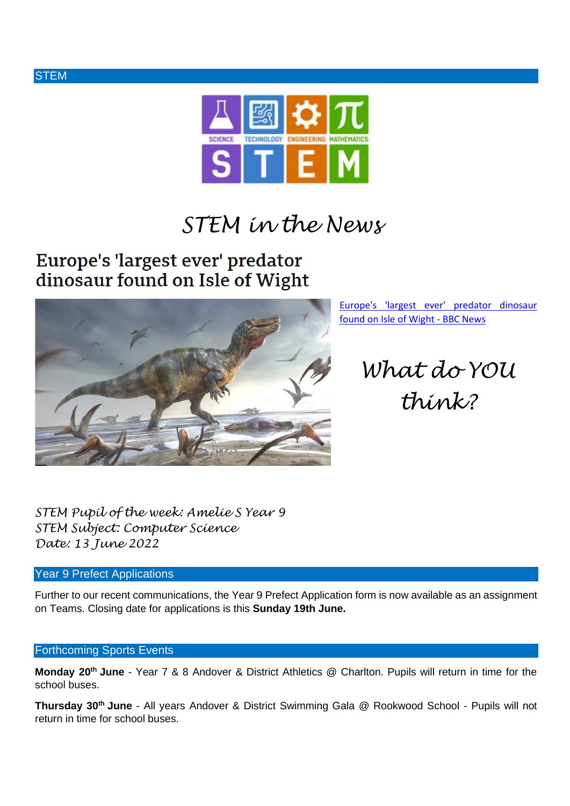



# *STEM in the News*

### Europe's 'largest ever' predator dinosaur found on Isle of Wight



[Europe's 'largest ever' predator dinosaur](https://www.bbc.co.uk/news/uk-england-hampshire-61743759)  [found on Isle of Wight -](https://www.bbc.co.uk/news/uk-england-hampshire-61743759) BBC News

*What do YOU think?*

*STEM Pupil of the week: Amelie S Year 9 STEM Subject: Computer Science Date: 13 June 2022*

#### Year 9 Prefect Applications

Further to our recent communications, the Year 9 Prefect Application form is now available as an assignment on Teams. Closing date for applications is this **Sunday 19th June.**

#### Forthcoming Sports Events

**Monday 20th June** - Year 7 & 8 Andover & District Athletics @ Charlton. Pupils will return in time for the school buses.

**Thursday 30th June** - All years Andover & District Swimming Gala @ Rookwood School - Pupils will not return in time for school buses.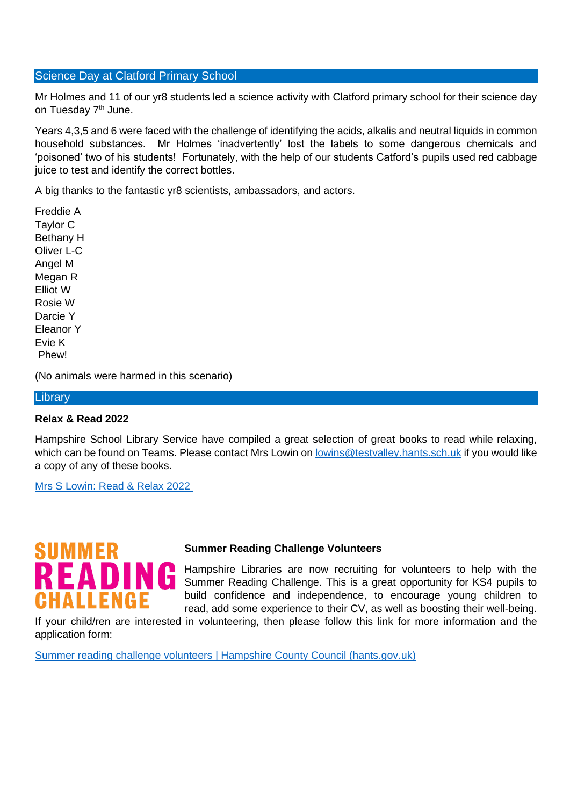#### Science Day at Clatford Primary School

Mr Holmes and 11 of our yr8 students led a science activity with Clatford primary school for their science day on Tuesday 7<sup>th</sup> June.

Years 4,3,5 and 6 were faced with the challenge of identifying the acids, alkalis and neutral liquids in common household substances. Mr Holmes 'inadvertently' lost the labels to some dangerous chemicals and 'poisoned' two of his students! Fortunately, with the help of our students Catford's pupils used red cabbage juice to test and identify the correct bottles.

A big thanks to the fantastic yr8 scientists, ambassadors, and actors.

Freddie A Taylor C Bethany H Oliver L-C Angel M Megan R Elliot W Rosie W Darcie Y Eleanor Y Evie K Phew!

(No animals were harmed in this scenario)

#### **Library**

#### **Relax & Read 2022**

Hampshire School Library Service have compiled a great selection of great books to read while relaxing, which can be found on Teams. Please contact Mrs Lowin on [lowins@testvalley.hants.sch.uk](mailto:lowins@testvalley.hants.sch.uk) if you would like a copy of any of these books.

[Mrs S Lowin: Read & Relax 2022](https://teams.microsoft.com/l/message/19:95780e0035194f5b872f8724b3146374@thread.tacv2/1655211101216?tenantId=2cdb75e9-a9e2-4f94-8a91-31aa0ee5ee4a&groupId=c088d601-384a-411e-ae10-3a16c99f0d50&parentMessageId=1655211101216&teamName=Year%209&channelName=General&createdTime=1655211101216)

# SUMMER EΑ ALLENGI

#### **Summer Reading Challenge Volunteers**

Hampshire Libraries are now recruiting for volunteers to help with the Summer Reading Challenge. This is a great opportunity for KS4 pupils to build confidence and independence, to encourage young children to read, add some experience to their CV, as well as boosting their well-being.

If your child/ren are interested in volunteering, then please follow this link for more information and the application form:

[Summer reading challenge volunteers | Hampshire County Council \(hants.gov.uk\)](https://www.hants.gov.uk/jobs/volunteering/volunteeringopportunities/summerreadingchallenge)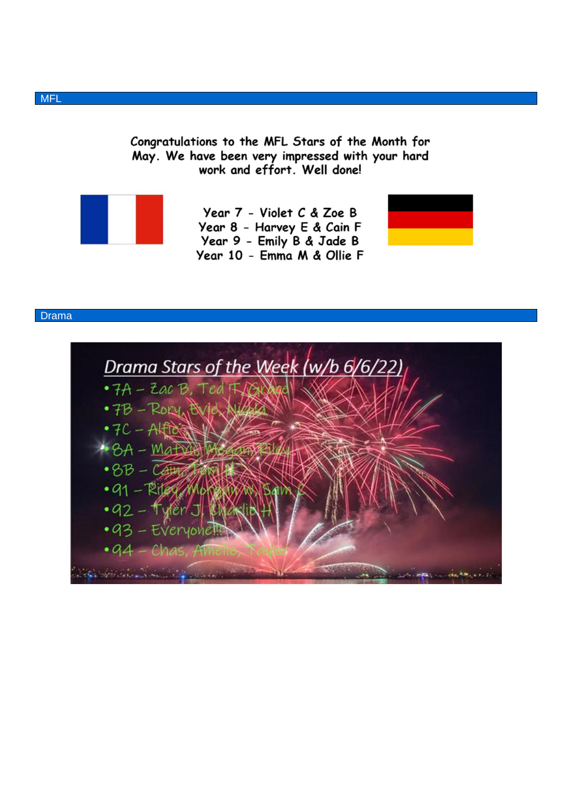Congratulations to the MFL Stars of the Month for May. We have been very impressed with your hard work and effort. Well done!



Year 7 - Violet C & Zoe B Year 8 - Harvey E & Cain F Year 9 - Emily B & Jade B Year 10 - Emma M & Ollie F



## Drama Stars of the Week (w/b 6/6/22) • 7A - Zac B, Ted That · 7B - ROCY BUG NEW  $-7C - AH$  $-8A - \text{MAE}$  $-8B-\overline{C}$  $\cdot$  91 - Riter  $\cdot$ 92 – tyler $\cdot$ •93 - Everyone  $.04$  $-6b$

Drama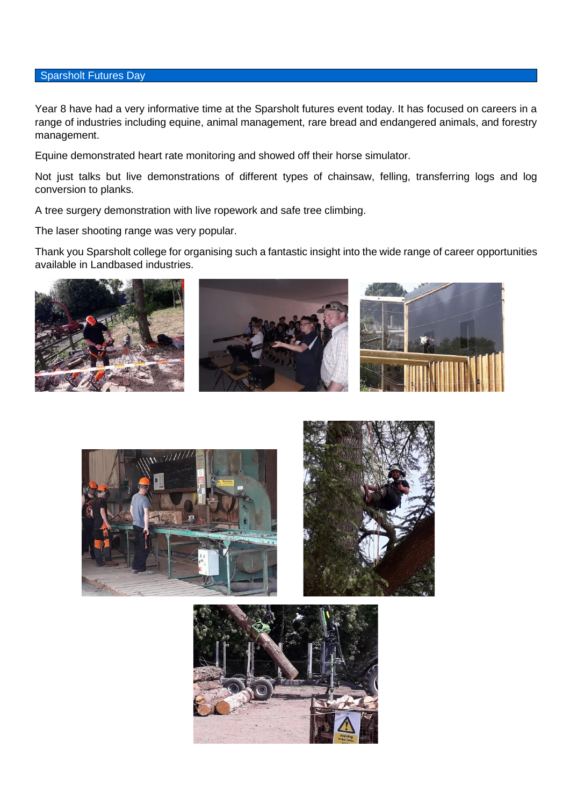#### Sparsholt Futures Day

Year 8 have had a very informative time at the Sparsholt futures event today. It has focused on careers in a range of industries including equine, animal management, rare bread and endangered animals, and forestry management.

Equine demonstrated heart rate monitoring and showed off their horse simulator.

Not just talks but live demonstrations of different types of chainsaw, felling, transferring logs and log conversion to planks.

A tree surgery demonstration with live ropework and safe tree climbing.

The laser shooting range was very popular.

Thank you Sparsholt college for organising such a fantastic insight into the wide range of career opportunities available in Landbased industries.